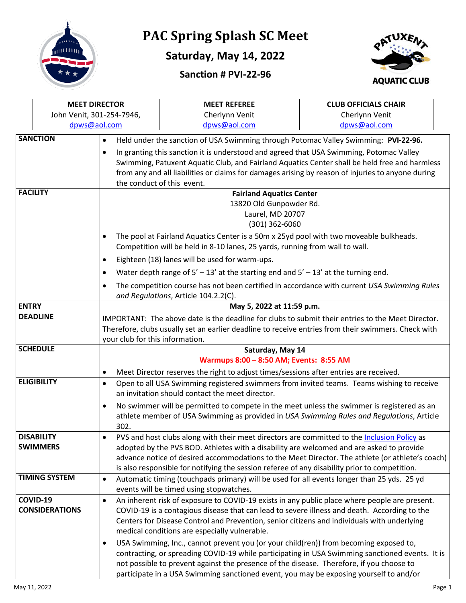

## **PAC Spring Splash SC Meet**

**Saturday, May 14, 2022**





|                                     | <b>MEET DIRECTOR</b>                               |                                                                                                                                                                                                       | <b>MEET REFEREE</b>                                                                                                                 | <b>CLUB OFFICIALS CHAIR</b> |  |  |  |
|-------------------------------------|----------------------------------------------------|-------------------------------------------------------------------------------------------------------------------------------------------------------------------------------------------------------|-------------------------------------------------------------------------------------------------------------------------------------|-----------------------------|--|--|--|
|                                     | John Venit, 301-254-7946,                          |                                                                                                                                                                                                       | Cherlynn Venit                                                                                                                      | Cherlynn Venit              |  |  |  |
|                                     | dpws@aol.com                                       |                                                                                                                                                                                                       | dpws@aol.com                                                                                                                        | dpws@aol.com                |  |  |  |
|                                     | <b>SANCTION</b>                                    | $\bullet$                                                                                                                                                                                             | Held under the sanction of USA Swimming through Potomac Valley Swimming: PVI-22-96.                                                 |                             |  |  |  |
|                                     |                                                    | $\bullet$                                                                                                                                                                                             | In granting this sanction it is understood and agreed that USA Swimming, Potomac Valley                                             |                             |  |  |  |
|                                     |                                                    |                                                                                                                                                                                                       | Swimming, Patuxent Aquatic Club, and Fairland Aquatics Center shall be held free and harmless                                       |                             |  |  |  |
|                                     |                                                    |                                                                                                                                                                                                       | from any and all liabilities or claims for damages arising by reason of injuries to anyone during                                   |                             |  |  |  |
|                                     |                                                    |                                                                                                                                                                                                       | the conduct of this event.                                                                                                          |                             |  |  |  |
|                                     | <b>FACILITY</b><br><b>Fairland Aquatics Center</b> |                                                                                                                                                                                                       |                                                                                                                                     |                             |  |  |  |
|                                     | 13820 Old Gunpowder Rd.                            |                                                                                                                                                                                                       |                                                                                                                                     |                             |  |  |  |
|                                     |                                                    |                                                                                                                                                                                                       | Laurel, MD 20707                                                                                                                    |                             |  |  |  |
|                                     |                                                    |                                                                                                                                                                                                       | (301) 362-6060                                                                                                                      |                             |  |  |  |
|                                     |                                                    | $\bullet$                                                                                                                                                                                             | The pool at Fairland Aquatics Center is a 50m x 25yd pool with two moveable bulkheads.                                              |                             |  |  |  |
|                                     |                                                    |                                                                                                                                                                                                       | Competition will be held in 8-10 lanes, 25 yards, running from wall to wall.                                                        |                             |  |  |  |
|                                     |                                                    | Eighteen (18) lanes will be used for warm-ups.<br>$\bullet$                                                                                                                                           |                                                                                                                                     |                             |  |  |  |
|                                     |                                                    | Water depth range of $5' - 13'$ at the starting end and $5' - 13'$ at the turning end.<br>$\bullet$                                                                                                   |                                                                                                                                     |                             |  |  |  |
| $\bullet$                           |                                                    |                                                                                                                                                                                                       | The competition course has not been certified in accordance with current USA Swimming Rules<br>and Regulations, Article 104.2.2(C). |                             |  |  |  |
| <b>ENTRY</b>                        |                                                    |                                                                                                                                                                                                       | May 5, 2022 at 11:59 p.m.                                                                                                           |                             |  |  |  |
|                                     | <b>DEADLINE</b>                                    | IMPORTANT: The above date is the deadline for clubs to submit their entries to the Meet Director.                                                                                                     |                                                                                                                                     |                             |  |  |  |
|                                     |                                                    |                                                                                                                                                                                                       | Therefore, clubs usually set an earlier deadline to receive entries from their swimmers. Check with                                 |                             |  |  |  |
|                                     |                                                    | your club for this information.                                                                                                                                                                       |                                                                                                                                     |                             |  |  |  |
| <b>SCHEDULE</b><br>Saturday, May 14 |                                                    |                                                                                                                                                                                                       |                                                                                                                                     |                             |  |  |  |
|                                     |                                                    | Warmups 8:00 - 8:50 AM; Events: 8:55 AM                                                                                                                                                               |                                                                                                                                     |                             |  |  |  |
|                                     |                                                    | Meet Director reserves the right to adjust times/sessions after entries are received.<br>$\bullet$                                                                                                    |                                                                                                                                     |                             |  |  |  |
| <b>ELIGIBILITY</b><br>$\bullet$     |                                                    |                                                                                                                                                                                                       | Open to all USA Swimming registered swimmers from invited teams. Teams wishing to receive                                           |                             |  |  |  |
|                                     |                                                    |                                                                                                                                                                                                       | an invitation should contact the meet director.                                                                                     |                             |  |  |  |
|                                     | $\bullet$                                          |                                                                                                                                                                                                       | No swimmer will be permitted to compete in the meet unless the swimmer is registered as an                                          |                             |  |  |  |
|                                     |                                                    |                                                                                                                                                                                                       | athlete member of USA Swimming as provided in USA Swimming Rules and Regulations, Article                                           |                             |  |  |  |
|                                     |                                                    | 302.                                                                                                                                                                                                  |                                                                                                                                     |                             |  |  |  |
|                                     | <b>DISABILITY</b>                                  | PVS and host clubs along with their meet directors are committed to the Inclusion Policy as<br>$\bullet$                                                                                              |                                                                                                                                     |                             |  |  |  |
| <b>SWIMMERS</b>                     |                                                    | adopted by the PVS BOD. Athletes with a disability are welcomed and are asked to provide                                                                                                              |                                                                                                                                     |                             |  |  |  |
|                                     |                                                    |                                                                                                                                                                                                       | advance notice of desired accommodations to the Meet Director. The athlete (or athlete's coach)                                     |                             |  |  |  |
|                                     |                                                    |                                                                                                                                                                                                       | is also responsible for notifying the session referee of any disability prior to competition.                                       |                             |  |  |  |
|                                     | <b>TIMING SYSTEM</b>                               | $\bullet$                                                                                                                                                                                             | Automatic timing (touchpads primary) will be used for all events longer than 25 yds. 25 yd                                          |                             |  |  |  |
|                                     |                                                    | events will be timed using stopwatches.                                                                                                                                                               |                                                                                                                                     |                             |  |  |  |
|                                     | COVID-19                                           | $\bullet$                                                                                                                                                                                             | An inherent risk of exposure to COVID-19 exists in any public place where people are present.                                       |                             |  |  |  |
| <b>CONSIDERATIONS</b>               |                                                    | COVID-19 is a contagious disease that can lead to severe illness and death. According to the<br>Centers for Disease Control and Prevention, senior citizens and individuals with underlying           |                                                                                                                                     |                             |  |  |  |
|                                     |                                                    |                                                                                                                                                                                                       |                                                                                                                                     |                             |  |  |  |
|                                     |                                                    |                                                                                                                                                                                                       | medical conditions are especially vulnerable.                                                                                       |                             |  |  |  |
|                                     |                                                    | USA Swimming, Inc., cannot prevent you (or your child(ren)) from becoming exposed to,<br>$\bullet$<br>contracting, or spreading COVID-19 while participating in USA Swimming sanctioned events. It is |                                                                                                                                     |                             |  |  |  |
|                                     |                                                    |                                                                                                                                                                                                       |                                                                                                                                     |                             |  |  |  |
|                                     |                                                    | not possible to prevent against the presence of the disease. Therefore, if you choose to                                                                                                              |                                                                                                                                     |                             |  |  |  |
|                                     |                                                    |                                                                                                                                                                                                       | participate in a USA Swimming sanctioned event, you may be exposing yourself to and/or                                              |                             |  |  |  |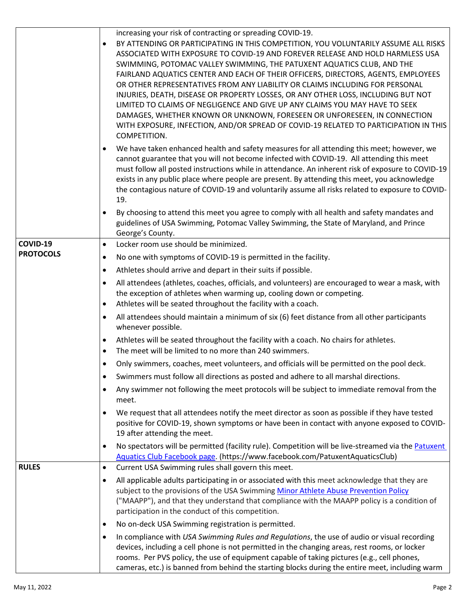|                  | increasing your risk of contracting or spreading COVID-19.<br>BY ATTENDING OR PARTICIPATING IN THIS COMPETITION, YOU VOLUNTARILY ASSUME ALL RISKS<br>$\bullet$<br>ASSOCIATED WITH EXPOSURE TO COVID-19 AND FOREVER RELEASE AND HOLD HARMLESS USA<br>SWIMMING, POTOMAC VALLEY SWIMMING, THE PATUXENT AQUATICS CLUB, AND THE<br>FAIRLAND AQUATICS CENTER AND EACH OF THEIR OFFICERS, DIRECTORS, AGENTS, EMPLOYEES<br>OR OTHER REPRESENTATIVES FROM ANY LIABILITY OR CLAIMS INCLUDING FOR PERSONAL<br>INJURIES, DEATH, DISEASE OR PROPERTY LOSSES, OR ANY OTHER LOSS, INCLUDING BUT NOT<br>LIMITED TO CLAIMS OF NEGLIGENCE AND GIVE UP ANY CLAIMS YOU MAY HAVE TO SEEK<br>DAMAGES, WHETHER KNOWN OR UNKNOWN, FORESEEN OR UNFORESEEN, IN CONNECTION<br>WITH EXPOSURE, INFECTION, AND/OR SPREAD OF COVID-19 RELATED TO PARTICIPATION IN THIS<br>COMPETITION. |
|------------------|---------------------------------------------------------------------------------------------------------------------------------------------------------------------------------------------------------------------------------------------------------------------------------------------------------------------------------------------------------------------------------------------------------------------------------------------------------------------------------------------------------------------------------------------------------------------------------------------------------------------------------------------------------------------------------------------------------------------------------------------------------------------------------------------------------------------------------------------------------|
|                  | We have taken enhanced health and safety measures for all attending this meet; however, we<br>cannot guarantee that you will not become infected with COVID-19. All attending this meet<br>must follow all posted instructions while in attendance. An inherent risk of exposure to COVID-19<br>exists in any public place where people are present. By attending this meet, you acknowledge<br>the contagious nature of COVID-19 and voluntarily assume all risks related to exposure to COVID-<br>19.<br>By choosing to attend this meet you agree to comply with all health and safety mandates and                                                                                                                                                                                                                                                  |
|                  | guidelines of USA Swimming, Potomac Valley Swimming, the State of Maryland, and Prince<br>George's County.                                                                                                                                                                                                                                                                                                                                                                                                                                                                                                                                                                                                                                                                                                                                              |
| COVID-19         | Locker room use should be minimized.<br>$\bullet$                                                                                                                                                                                                                                                                                                                                                                                                                                                                                                                                                                                                                                                                                                                                                                                                       |
| <b>PROTOCOLS</b> | No one with symptoms of COVID-19 is permitted in the facility.<br>$\bullet$                                                                                                                                                                                                                                                                                                                                                                                                                                                                                                                                                                                                                                                                                                                                                                             |
|                  | Athletes should arrive and depart in their suits if possible.<br>$\bullet$                                                                                                                                                                                                                                                                                                                                                                                                                                                                                                                                                                                                                                                                                                                                                                              |
|                  | All attendees (athletes, coaches, officials, and volunteers) are encouraged to wear a mask, with<br>$\bullet$<br>the exception of athletes when warming up, cooling down or competing.<br>Athletes will be seated throughout the facility with a coach.<br>$\bullet$                                                                                                                                                                                                                                                                                                                                                                                                                                                                                                                                                                                    |
|                  | All attendees should maintain a minimum of six (6) feet distance from all other participants<br>$\bullet$<br>whenever possible.                                                                                                                                                                                                                                                                                                                                                                                                                                                                                                                                                                                                                                                                                                                         |
|                  | Athletes will be seated throughout the facility with a coach. No chairs for athletes.<br>$\bullet$<br>The meet will be limited to no more than 240 swimmers.<br>$\bullet$                                                                                                                                                                                                                                                                                                                                                                                                                                                                                                                                                                                                                                                                               |
|                  | Only swimmers, coaches, meet volunteers, and officials will be permitted on the pool deck.                                                                                                                                                                                                                                                                                                                                                                                                                                                                                                                                                                                                                                                                                                                                                              |
|                  | Swimmers must follow all directions as posted and adhere to all marshal directions.<br>$\bullet$                                                                                                                                                                                                                                                                                                                                                                                                                                                                                                                                                                                                                                                                                                                                                        |
|                  | Any swimmer not following the meet protocols will be subject to immediate removal from the<br>$\bullet$<br>meet.                                                                                                                                                                                                                                                                                                                                                                                                                                                                                                                                                                                                                                                                                                                                        |
|                  | We request that all attendees notify the meet director as soon as possible if they have tested<br>$\bullet$<br>positive for COVID-19, shown symptoms or have been in contact with anyone exposed to COVID-<br>19 after attending the meet.                                                                                                                                                                                                                                                                                                                                                                                                                                                                                                                                                                                                              |
|                  | No spectators will be permitted (facility rule). Competition will be live-streamed via the Patuxent<br>$\bullet$<br>Aquatics Club Facebook page. (https://www.facebook.com/PatuxentAquaticsClub)                                                                                                                                                                                                                                                                                                                                                                                                                                                                                                                                                                                                                                                        |
| <b>RULES</b>     | Current USA Swimming rules shall govern this meet.<br>$\bullet$                                                                                                                                                                                                                                                                                                                                                                                                                                                                                                                                                                                                                                                                                                                                                                                         |
|                  | All applicable adults participating in or associated with this meet acknowledge that they are<br>$\bullet$<br>subject to the provisions of the USA Swimming Minor Athlete Abuse Prevention Policy<br>("MAAPP"), and that they understand that compliance with the MAAPP policy is a condition of<br>participation in the conduct of this competition.                                                                                                                                                                                                                                                                                                                                                                                                                                                                                                   |
|                  | No on-deck USA Swimming registration is permitted.<br>$\bullet$                                                                                                                                                                                                                                                                                                                                                                                                                                                                                                                                                                                                                                                                                                                                                                                         |
|                  | In compliance with USA Swimming Rules and Regulations, the use of audio or visual recording<br>$\bullet$<br>devices, including a cell phone is not permitted in the changing areas, rest rooms, or locker<br>rooms. Per PVS policy, the use of equipment capable of taking pictures (e.g., cell phones,<br>cameras, etc.) is banned from behind the starting blocks during the entire meet, including warm                                                                                                                                                                                                                                                                                                                                                                                                                                              |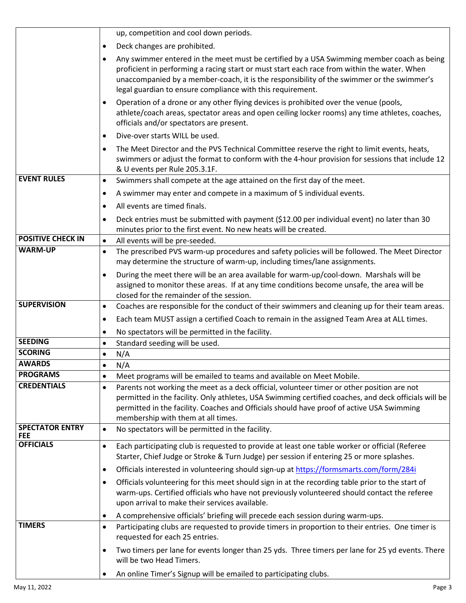|                                      | up, competition and cool down periods.                                                                                                                                                                                                                                                                                                                           |  |  |  |
|--------------------------------------|------------------------------------------------------------------------------------------------------------------------------------------------------------------------------------------------------------------------------------------------------------------------------------------------------------------------------------------------------------------|--|--|--|
|                                      |                                                                                                                                                                                                                                                                                                                                                                  |  |  |  |
|                                      | Deck changes are prohibited.<br>$\bullet$                                                                                                                                                                                                                                                                                                                        |  |  |  |
|                                      | Any swimmer entered in the meet must be certified by a USA Swimming member coach as being<br>$\bullet$<br>proficient in performing a racing start or must start each race from within the water. When<br>unaccompanied by a member-coach, it is the responsibility of the swimmer or the swimmer's<br>legal guardian to ensure compliance with this requirement. |  |  |  |
|                                      | Operation of a drone or any other flying devices is prohibited over the venue (pools,<br>$\bullet$<br>athlete/coach areas, spectator areas and open ceiling locker rooms) any time athletes, coaches,<br>officials and/or spectators are present.                                                                                                                |  |  |  |
|                                      | Dive-over starts WILL be used.                                                                                                                                                                                                                                                                                                                                   |  |  |  |
|                                      | The Meet Director and the PVS Technical Committee reserve the right to limit events, heats,<br>$\bullet$<br>swimmers or adjust the format to conform with the 4-hour provision for sessions that include 12<br>& U events per Rule 205.3.1F.                                                                                                                     |  |  |  |
| <b>EVENT RULES</b>                   | Swimmers shall compete at the age attained on the first day of the meet.<br>$\bullet$                                                                                                                                                                                                                                                                            |  |  |  |
|                                      | A swimmer may enter and compete in a maximum of 5 individual events.<br>$\bullet$                                                                                                                                                                                                                                                                                |  |  |  |
|                                      | All events are timed finals.<br>$\bullet$                                                                                                                                                                                                                                                                                                                        |  |  |  |
|                                      | Deck entries must be submitted with payment (\$12.00 per individual event) no later than 30<br>$\bullet$<br>minutes prior to the first event. No new heats will be created.                                                                                                                                                                                      |  |  |  |
| <b>POSITIVE CHECK IN</b>             | All events will be pre-seeded.<br>$\bullet$                                                                                                                                                                                                                                                                                                                      |  |  |  |
| <b>WARM-UP</b>                       | The prescribed PVS warm-up procedures and safety policies will be followed. The Meet Director<br>$\bullet$<br>may determine the structure of warm-up, including times/lane assignments.                                                                                                                                                                          |  |  |  |
|                                      | During the meet there will be an area available for warm-up/cool-down. Marshals will be<br>$\bullet$<br>assigned to monitor these areas. If at any time conditions become unsafe, the area will be<br>closed for the remainder of the session.                                                                                                                   |  |  |  |
| <b>SUPERVISION</b>                   | Coaches are responsible for the conduct of their swimmers and cleaning up for their team areas.<br>$\bullet$                                                                                                                                                                                                                                                     |  |  |  |
|                                      | Each team MUST assign a certified Coach to remain in the assigned Team Area at ALL times.<br>$\bullet$                                                                                                                                                                                                                                                           |  |  |  |
|                                      | No spectators will be permitted in the facility.<br>$\bullet$                                                                                                                                                                                                                                                                                                    |  |  |  |
| <b>SEEDING</b>                       | Standard seeding will be used.<br>$\bullet$                                                                                                                                                                                                                                                                                                                      |  |  |  |
| <b>SCORING</b>                       | N/A<br>$\bullet$                                                                                                                                                                                                                                                                                                                                                 |  |  |  |
| <b>AWARDS</b>                        | N/A<br>$\bullet$                                                                                                                                                                                                                                                                                                                                                 |  |  |  |
| <b>PROGRAMS</b>                      | Meet programs will be emailed to teams and available on Meet Mobile.<br>$\bullet$                                                                                                                                                                                                                                                                                |  |  |  |
| <b>CREDENTIALS</b>                   | Parents not working the meet as a deck official, volunteer timer or other position are not<br>$\bullet$<br>permitted in the facility. Only athletes, USA Swimming certified coaches, and deck officials will be<br>permitted in the facility. Coaches and Officials should have proof of active USA Swimming<br>membership with them at all times.               |  |  |  |
| <b>SPECTATOR ENTRY</b><br><b>FEE</b> | No spectators will be permitted in the facility.<br>$\bullet$                                                                                                                                                                                                                                                                                                    |  |  |  |
| <b>OFFICIALS</b>                     | Each participating club is requested to provide at least one table worker or official (Referee<br>$\bullet$<br>Starter, Chief Judge or Stroke & Turn Judge) per session if entering 25 or more splashes.                                                                                                                                                         |  |  |  |
|                                      | Officials interested in volunteering should sign-up at https://formsmarts.com/form/284i<br>$\bullet$                                                                                                                                                                                                                                                             |  |  |  |
|                                      | Officials volunteering for this meet should sign in at the recording table prior to the start of<br>$\bullet$<br>warm-ups. Certified officials who have not previously volunteered should contact the referee<br>upon arrival to make their services available.                                                                                                  |  |  |  |
|                                      | A comprehensive officials' briefing will precede each session during warm-ups.<br>$\bullet$                                                                                                                                                                                                                                                                      |  |  |  |
| <b>TIMERS</b>                        | Participating clubs are requested to provide timers in proportion to their entries. One timer is<br>$\bullet$<br>requested for each 25 entries.                                                                                                                                                                                                                  |  |  |  |
|                                      | Two timers per lane for events longer than 25 yds. Three timers per lane for 25 yd events. There<br>$\bullet$<br>will be two Head Timers.                                                                                                                                                                                                                        |  |  |  |
|                                      | An online Timer's Signup will be emailed to participating clubs.                                                                                                                                                                                                                                                                                                 |  |  |  |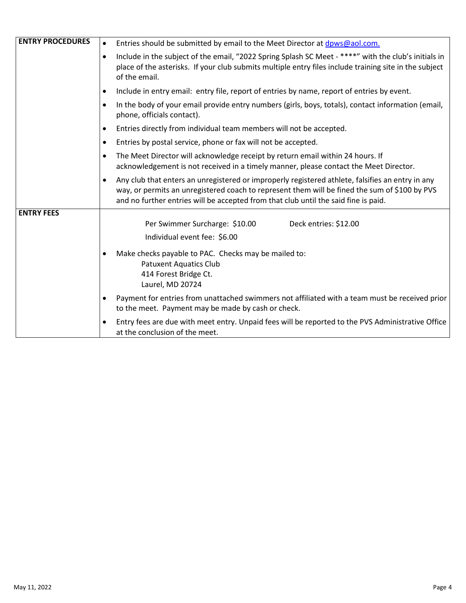| <b>ENTRY PROCEDURES</b> | Entries should be submitted by email to the Meet Director at dpws@aol.com.                                                                                                                                                                                                                            |  |  |
|-------------------------|-------------------------------------------------------------------------------------------------------------------------------------------------------------------------------------------------------------------------------------------------------------------------------------------------------|--|--|
|                         | Include in the subject of the email, "2022 Spring Splash SC Meet - ****" with the club's initials in<br>$\bullet$<br>place of the asterisks. If your club submits multiple entry files include training site in the subject<br>of the email.                                                          |  |  |
|                         | Include in entry email: entry file, report of entries by name, report of entries by event.<br>$\bullet$                                                                                                                                                                                               |  |  |
|                         | In the body of your email provide entry numbers (girls, boys, totals), contact information (email,<br>phone, officials contact).                                                                                                                                                                      |  |  |
|                         | Entries directly from individual team members will not be accepted.                                                                                                                                                                                                                                   |  |  |
|                         | Entries by postal service, phone or fax will not be accepted.                                                                                                                                                                                                                                         |  |  |
|                         | The Meet Director will acknowledge receipt by return email within 24 hours. If<br>$\bullet$<br>acknowledgement is not received in a timely manner, please contact the Meet Director.                                                                                                                  |  |  |
|                         | Any club that enters an unregistered or improperly registered athlete, falsifies an entry in any<br>$\bullet$<br>way, or permits an unregistered coach to represent them will be fined the sum of \$100 by PVS<br>and no further entries will be accepted from that club until the said fine is paid. |  |  |
| <b>ENTRY FEES</b>       | Deck entries: \$12.00<br>Per Swimmer Surcharge: \$10.00                                                                                                                                                                                                                                               |  |  |
|                         | Individual event fee: \$6.00                                                                                                                                                                                                                                                                          |  |  |
|                         | Make checks payable to PAC. Checks may be mailed to:<br>$\bullet$<br><b>Patuxent Aquatics Club</b><br>414 Forest Bridge Ct.<br>Laurel, MD 20724                                                                                                                                                       |  |  |
|                         | Payment for entries from unattached swimmers not affiliated with a team must be received prior<br>to the meet. Payment may be made by cash or check.                                                                                                                                                  |  |  |
|                         | Entry fees are due with meet entry. Unpaid fees will be reported to the PVS Administrative Office<br>$\bullet$<br>at the conclusion of the meet.                                                                                                                                                      |  |  |